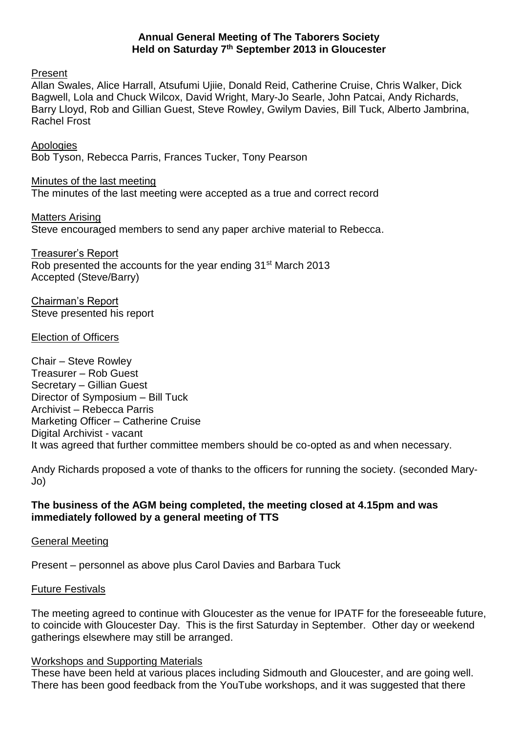### **Annual General Meeting of The Taborers Society Held on Saturday 7 th September 2013 in Gloucester**

Present

Allan Swales, Alice Harrall, Atsufumi Ujiie, Donald Reid, Catherine Cruise, Chris Walker, Dick Bagwell, Lola and Chuck Wilcox, David Wright, Mary-Jo Searle, John Patcai, Andy Richards, Barry Lloyd, Rob and Gillian Guest, Steve Rowley, Gwilym Davies, Bill Tuck, Alberto Jambrina, Rachel Frost

**Apologies** Bob Tyson, Rebecca Parris, Frances Tucker, Tony Pearson

Minutes of the last meeting The minutes of the last meeting were accepted as a true and correct record

Matters Arising Steve encouraged members to send any paper archive material to Rebecca.

Treasurer's Report Rob presented the accounts for the year ending 31<sup>st</sup> March 2013 Accepted (Steve/Barry)

Chairman's Report Steve presented his report

Election of Officers

Chair – Steve Rowley Treasurer – Rob Guest Secretary – Gillian Guest Director of Symposium – Bill Tuck Archivist – Rebecca Parris Marketing Officer – Catherine Cruise Digital Archivist - vacant It was agreed that further committee members should be co-opted as and when necessary.

Andy Richards proposed a vote of thanks to the officers for running the society. (seconded Mary-Jo)

# **The business of the AGM being completed, the meeting closed at 4.15pm and was immediately followed by a general meeting of TTS**

### General Meeting

Present – personnel as above plus Carol Davies and Barbara Tuck

### Future Festivals

The meeting agreed to continue with Gloucester as the venue for IPATF for the foreseeable future, to coincide with Gloucester Day. This is the first Saturday in September. Other day or weekend gatherings elsewhere may still be arranged.

### Workshops and Supporting Materials

These have been held at various places including Sidmouth and Gloucester, and are going well. There has been good feedback from the YouTube workshops, and it was suggested that there